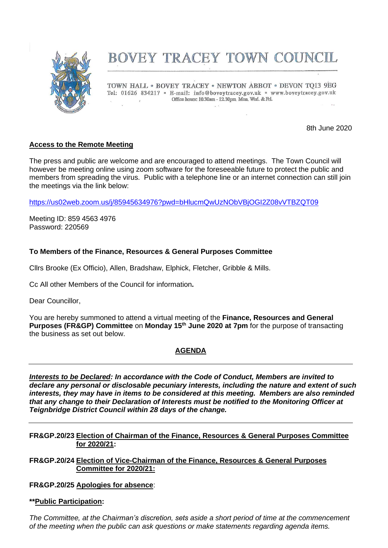

# BOVEY TRACEY TOWN COUNCIL

TOWN HALL . BOVEY TRACEY . NEWTON ABBOT . DEVON TO13 9EG Tel: 01626 834217 · E-mail: info@boveytracey.gov.uk · www.boveytracey.gov.uk Office hours: 10.30am - 12.30pm Mon, Wed. & Fri.

8th June 2020

# **Access to the Remote Meeting**

The press and public are welcome and are encouraged to attend meetings. The Town Council will however be meeting online using zoom software for the foreseeable future to protect the public and members from spreading the virus. Public with a telephone line or an internet connection can still join the meetings via the link below:

<https://us02web.zoom.us/j/85945634976?pwd=bHlucmQwUzNObVBjOGI2Z08vVTBZQT09>

Meeting ID: 859 4563 4976 Password: 220569

## **To Members of the Finance, Resources & General Purposes Committee**

Cllrs Brooke (Ex Officio), Allen, Bradshaw, Elphick, Fletcher, Gribble & Mills.

Cc All other Members of the Council for information**.**

Dear Councillor,

You are hereby summoned to attend a virtual meeting of the **Finance, Resources and General Purposes (FR&GP) Committee** on **Monday 15th June 2020 at 7pm** for the purpose of transacting the business as set out below.

# **AGENDA**

*Interests to be Declared: In accordance with the Code of Conduct, Members are invited to declare any personal or disclosable pecuniary interests, including the nature and extent of such interests, they may have in items to be considered at this meeting. Members are also reminded that any change to their Declaration of Interests must be notified to the Monitoring Officer at Teignbridge District Council within 28 days of the change.*

## **FR&GP.20/23 Election of Chairman of the Finance, Resources & General Purposes Committee for 2020/21:**

**FR&GP.20/24 Election of Vice-Chairman of the Finance, Resources & General Purposes Committee for 2020/21:**

**FR&GP.20/25 Apologies for absence**:

## **\*\*Public Participation:**

*The Committee, at the Chairman's discretion, sets aside a short period of time at the commencement of the meeting when the public can ask questions or make statements regarding agenda items.*